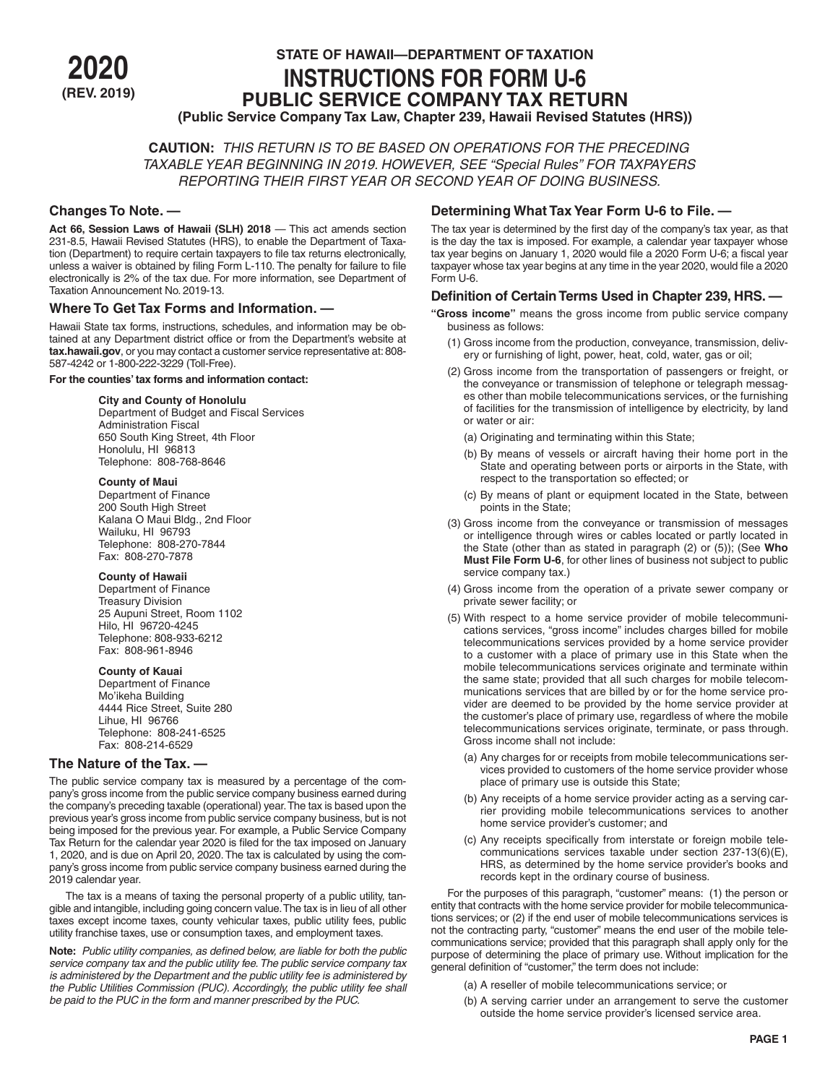

# **STATE OF HAWAII—DEPARTMENT OF TAXATION<br>INSTRUCTIONS FOR FORM U-6<br>PUBLIC SERVICE COMPANY TAX RETURN (REV. 2019) PUBLIC SERVICE COMPANY TAX RETURN (Public Service Company Tax Law, Chapter 239, Hawaii Revised Statutes (HRS))**

**CAUTION:** *THIS RETURN IS TO BE BASED ON OPERATIONS FOR THE PRECEDING TAXABLE YEAR BEGINNING IN 2019. HOWEVER, SEE "Special Rules" FOR TAXPAYERS REPORTING THEIR FIRST YEAR OR SECOND YEAR OF DOING BUSINESS.*

## **Changes To Note. —**

**Act 66, Session Laws of Hawaii (SLH) 2018** — This act amends section 231-8.5, Hawaii Revised Statutes (HRS), to enable the Department of Taxation (Department) to require certain taxpayers to file tax returns electronically, unless a waiver is obtained by filing Form L-110. The penalty for failure to file electronically is 2% of the tax due. For more information, see Department of Taxation Announcement No. 2019-13.

#### **Where To Get Tax Forms and Information. —**

Hawaii State tax forms, instructions, schedules, and information may be obtained at any Department district office or from the Department's website at **tax.hawaii.gov**, or you may contact a customer service representative at: 808- 587-4242 or 1-800-222-3229 (Toll-Free).

#### **For the counties' tax forms and information contact:**

**City and County of Honolulu**

Department of Budget and Fiscal Services Administration Fiscal 650 South King Street, 4th Floor Honolulu, HI 96813 Telephone: 808-768-8646

#### **County of Maui**

Department of Finance 200 South High Street Kalana O Maui Bldg., 2nd Floor Wailuku, HI 96793 Telephone: 808-270-7844 Fax: 808-270-7878

#### **County of Hawaii**

Department of Finance Treasury Division 25 Aupuni Street, Room 1102 Hilo, HI 96720-4245 Telephone: 808-933-6212 Fax: 808-961-8946

#### **County of Kauai**

Department of Finance Mo'ikeha Building 4444 Rice Street, Suite 280 Lihue, HI 96766 Telephone: 808-241-6525 Fax: 808-214-6529

#### **The Nature of the Tax. —**

The public service company tax is measured by a percentage of the company's gross income from the public service company business earned during the company's preceding taxable (operational) year. The tax is based upon the previous year's gross income from public service company business, but is not being imposed for the previous year. For example, a Public Service Company Tax Return for the calendar year 2020 is filed for the tax imposed on January 1, 2020, and is due on April 20, 2020. The tax is calculated by using the company's gross income from public service company business earned during the 2019 calendar year.

The tax is a means of taxing the personal property of a public utility, tangible and intangible, including going concern value. The tax is in lieu of all other taxes except income taxes, county vehicular taxes, public utility fees, public utility franchise taxes, use or consumption taxes, and employment taxes.

**Note:** *Public utility companies, as defined below, are liable for both the public service company tax and the public utility fee. The public service company tax is administered by the Department and the public utility fee is administered by the Public Utilities Commission (PUC). Accordingly, the public utility fee shall be paid to the PUC in the form and manner prescribed by the PUC.*

## **Determining What Tax Year Form U-6 to File. —**

The tax year is determined by the first day of the company's tax year, as that is the day the tax is imposed. For example, a calendar year taxpayer whose tax year begins on January 1, 2020 would file a 2020 Form U-6; a fiscal year taxpayer whose tax year begins at any time in the year 2020, would file a 2020 Form U-6.

## **Definition of Certain Terms Used in Chapter 239, HRS. —**

- **"Gross income"** means the gross income from public service company business as follows:
	- (1) Gross income from the production, conveyance, transmission, delivery or furnishing of light, power, heat, cold, water, gas or oil;
	- (2) Gross income from the transportation of passengers or freight, or the conveyance or transmission of telephone or telegraph messages other than mobile telecommunications services, or the furnishing of facilities for the transmission of intelligence by electricity, by land or water or air:
		- (a) Originating and terminating within this State;
		- (b) By means of vessels or aircraft having their home port in the State and operating between ports or airports in the State, with respect to the transportation so effected; or
		- (c) By means of plant or equipment located in the State, between points in the State;
	- (3) Gross income from the conveyance or transmission of messages or intelligence through wires or cables located or partly located in the State (other than as stated in paragraph (2) or (5)); (See **Who Must File Form U-6**, for other lines of business not subject to public service company tax.)
	- (4) Gross income from the operation of a private sewer company or private sewer facility; or
	- (5) With respect to a home service provider of mobile telecommunications services, "gross income" includes charges billed for mobile telecommunications services provided by a home service provider to a customer with a place of primary use in this State when the mobile telecommunications services originate and terminate within the same state; provided that all such charges for mobile telecommunications services that are billed by or for the home service provider are deemed to be provided by the home service provider at the customer's place of primary use, regardless of where the mobile telecommunications services originate, terminate, or pass through. Gross income shall not include:
		- (a) Any charges for or receipts from mobile telecommunications services provided to customers of the home service provider whose place of primary use is outside this State;
		- (b) Any receipts of a home service provider acting as a serving carrier providing mobile telecommunications services to another home service provider's customer; and
		- (c) Any receipts specifically from interstate or foreign mobile telecommunications services taxable under section 237-13(6)(E), HRS, as determined by the home service provider's books and records kept in the ordinary course of business.

For the purposes of this paragraph, "customer" means: (1) the person or entity that contracts with the home service provider for mobile telecommunications services; or (2) if the end user of mobile telecommunications services is not the contracting party, "customer" means the end user of the mobile telecommunications service; provided that this paragraph shall apply only for the purpose of determining the place of primary use. Without implication for the general definition of "customer," the term does not include:

- (a) A reseller of mobile telecommunications service; or
- (b) A serving carrier under an arrangement to serve the customer outside the home service provider's licensed service area.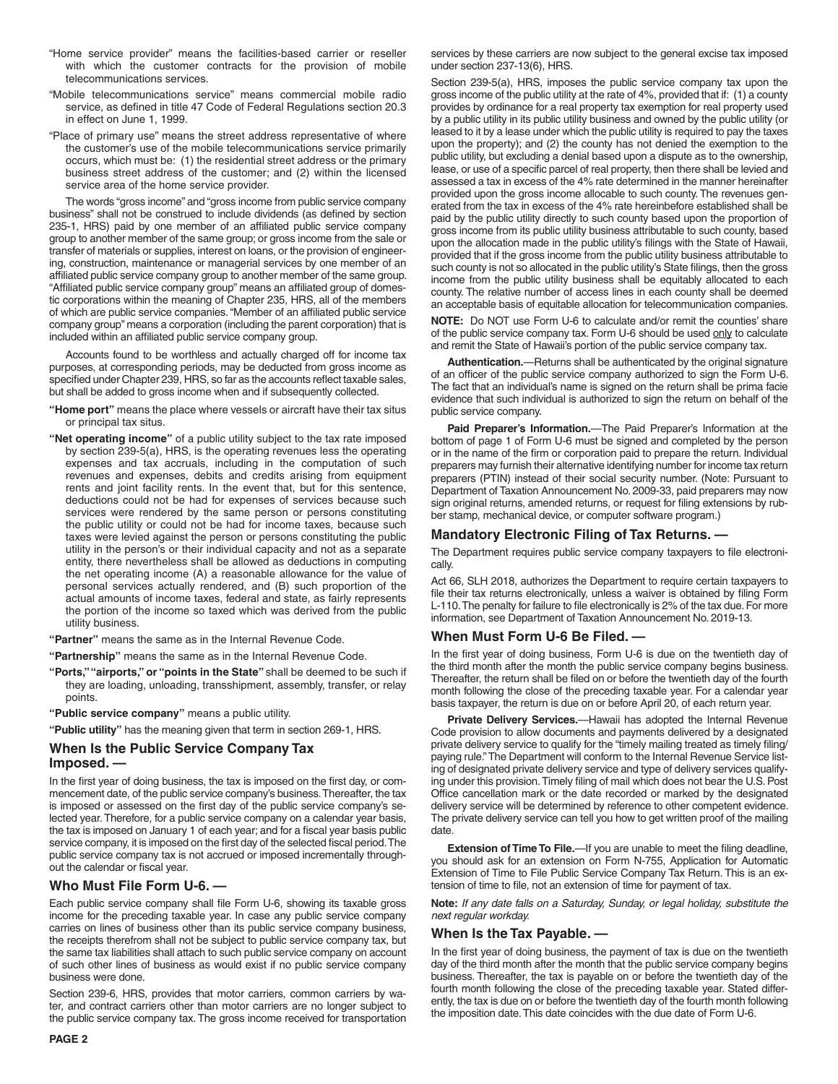- "Home service provider" means the facilities-based carrier or reseller with which the customer contracts for the provision of mobile telecommunications services.
- "Mobile telecommunications service" means commercial mobile radio service, as defined in title 47 Code of Federal Regulations section 20.3 in effect on June 1, 1999.
- "Place of primary use" means the street address representative of where the customer's use of the mobile telecommunications service primarily occurs, which must be: (1) the residential street address or the primary business street address of the customer; and (2) within the licensed service area of the home service provider.

The words "gross income" and "gross income from public service company business" shall not be construed to include dividends (as defined by section 235-1, HRS) paid by one member of an affiliated public service company group to another member of the same group; or gross income from the sale or transfer of materials or supplies, interest on loans, or the provision of engineering, construction, maintenance or managerial services by one member of an affiliated public service company group to another member of the same group. "Affiliated public service company group" means an affiliated group of domestic corporations within the meaning of Chapter 235, HRS, all of the members of which are public service companies. "Member of an affiliated public service company group" means a corporation (including the parent corporation) that is included within an affiliated public service company group.

Accounts found to be worthless and actually charged off for income tax purposes, at corresponding periods, may be deducted from gross income as specified under Chapter 239, HRS, so far as the accounts reflect taxable sales, but shall be added to gross income when and if subsequently collected.

- **"Home port"** means the place where vessels or aircraft have their tax situs or principal tax situs.
- **"Net operating income"** of a public utility subject to the tax rate imposed by section 239-5(a), HRS, is the operating revenues less the operating expenses and tax accruals, including in the computation of such revenues and expenses, debits and credits arising from equipment rents and joint facility rents. In the event that, but for this sentence, deductions could not be had for expenses of services because such services were rendered by the same person or persons constituting the public utility or could not be had for income taxes, because such taxes were levied against the person or persons constituting the public utility in the person's or their individual capacity and not as a separate entity, there nevertheless shall be allowed as deductions in computing the net operating income (A) a reasonable allowance for the value of personal services actually rendered, and (B) such proportion of the actual amounts of income taxes, federal and state, as fairly represents the portion of the income so taxed which was derived from the public utility business.
- **"Partner"** means the same as in the Internal Revenue Code.
- **"Partnership"** means the same as in the Internal Revenue Code.
- **"Ports," "airports," or "points in the State"** shall be deemed to be such if they are loading, unloading, transshipment, assembly, transfer, or relay points.
- **"Public service company"** means a public utility.

**"Public utility"** has the meaning given that term in section 269-1, HRS.

## **When Is the Public Service Company Tax Imposed. —**

In the first year of doing business, the tax is imposed on the first day, or commencement date, of the public service company's business. Thereafter, the tax is imposed or assessed on the first day of the public service company's selected year. Therefore, for a public service company on a calendar year basis, the tax is imposed on January 1 of each year; and for a fiscal year basis public service company, it is imposed on the first day of the selected fiscal period. The public service company tax is not accrued or imposed incrementally throughout the calendar or fiscal year.

## **Who Must File Form U-6. —**

Each public service company shall file Form U-6, showing its taxable gross income for the preceding taxable year. In case any public service company carries on lines of business other than its public service company business, the receipts therefrom shall not be subject to public service company tax, but the same tax liabilities shall attach to such public service company on account of such other lines of business as would exist if no public service company business were done.

Section 239-6, HRS, provides that motor carriers, common carriers by water, and contract carriers other than motor carriers are no longer subject to the public service company tax. The gross income received for transportation

services by these carriers are now subject to the general excise tax imposed under section 237-13(6), HRS.

Section 239-5(a), HRS, imposes the public service company tax upon the gross income of the public utility at the rate of 4%, provided that if: (1) a county provides by ordinance for a real property tax exemption for real property used by a public utility in its public utility business and owned by the public utility (or leased to it by a lease under which the public utility is required to pay the taxes upon the property); and (2) the county has not denied the exemption to the public utility, but excluding a denial based upon a dispute as to the ownership, lease, or use of a specific parcel of real property, then there shall be levied and assessed a tax in excess of the 4% rate determined in the manner hereinafter provided upon the gross income allocable to such county. The revenues generated from the tax in excess of the 4% rate hereinbefore established shall be paid by the public utility directly to such county based upon the proportion of gross income from its public utility business attributable to such county, based upon the allocation made in the public utility's filings with the State of Hawaii, provided that if the gross income from the public utility business attributable to such county is not so allocated in the public utility's State filings, then the gross income from the public utility business shall be equitably allocated to each county. The relative number of access lines in each county shall be deemed an acceptable basis of equitable allocation for telecommunication companies.

**NOTE:** Do NOT use Form U-6 to calculate and/or remit the counties' share of the public service company tax. Form U-6 should be used only to calculate and remit the State of Hawaii's portion of the public service company tax.

**Authentication.**—Returns shall be authenticated by the original signature of an officer of the public service company authorized to sign the Form U-6. The fact that an individual's name is signed on the return shall be prima facie evidence that such individual is authorized to sign the return on behalf of the public service company.

**Paid Preparer's Information.**—The Paid Preparer's Information at the bottom of page 1 of Form U-6 must be signed and completed by the person or in the name of the firm or corporation paid to prepare the return. Individual preparers may furnish their alternative identifying number for income tax return preparers (PTIN) instead of their social security number. (Note: Pursuant to Department of Taxation Announcement No. 2009-33, paid preparers may now sign original returns, amended returns, or request for filing extensions by rubber stamp, mechanical device, or computer software program.)

#### **Mandatory Electronic Filing of Tax Returns. —**

The Department requires public service company taxpayers to file electronically.

Act 66, SLH 2018, authorizes the Department to require certain taxpayers to file their tax returns electronically, unless a waiver is obtained by filing Form L-110. The penalty for failure to file electronically is 2% of the tax due. For more information, see Department of Taxation Announcement No. 2019-13.

#### **When Must Form U-6 Be Filed. —**

In the first year of doing business, Form U-6 is due on the twentieth day of the third month after the month the public service company begins business. Thereafter, the return shall be filed on or before the twentieth day of the fourth month following the close of the preceding taxable year. For a calendar year basis taxpayer, the return is due on or before April 20, of each return year.

**Private Delivery Services.**—Hawaii has adopted the Internal Revenue Code provision to allow documents and payments delivered by a designated private delivery service to qualify for the "timely mailing treated as timely filing/ paying rule." The Department will conform to the Internal Revenue Service listing of designated private delivery service and type of delivery services qualifying under this provision. Timely filing of mail which does not bear the U.S. Post Office cancellation mark or the date recorded or marked by the designated delivery service will be determined by reference to other competent evidence. The private delivery service can tell you how to get written proof of the mailing date

**Extension of Time To File.**—If you are unable to meet the filing deadline, you should ask for an extension on Form N-755, Application for Automatic Extension of Time to File Public Service Company Tax Return. This is an extension of time to file, not an extension of time for payment of tax.

**Note:** *If any date falls on a Saturday, Sunday, or legal holiday, substitute the next regular workday.*

#### **When Is the Tax Payable. —**

In the first year of doing business, the payment of tax is due on the twentieth day of the third month after the month that the public service company begins business. Thereafter, the tax is payable on or before the twentieth day of the fourth month following the close of the preceding taxable year. Stated differently, the tax is due on or before the twentieth day of the fourth month following the imposition date. This date coincides with the due date of Form U-6.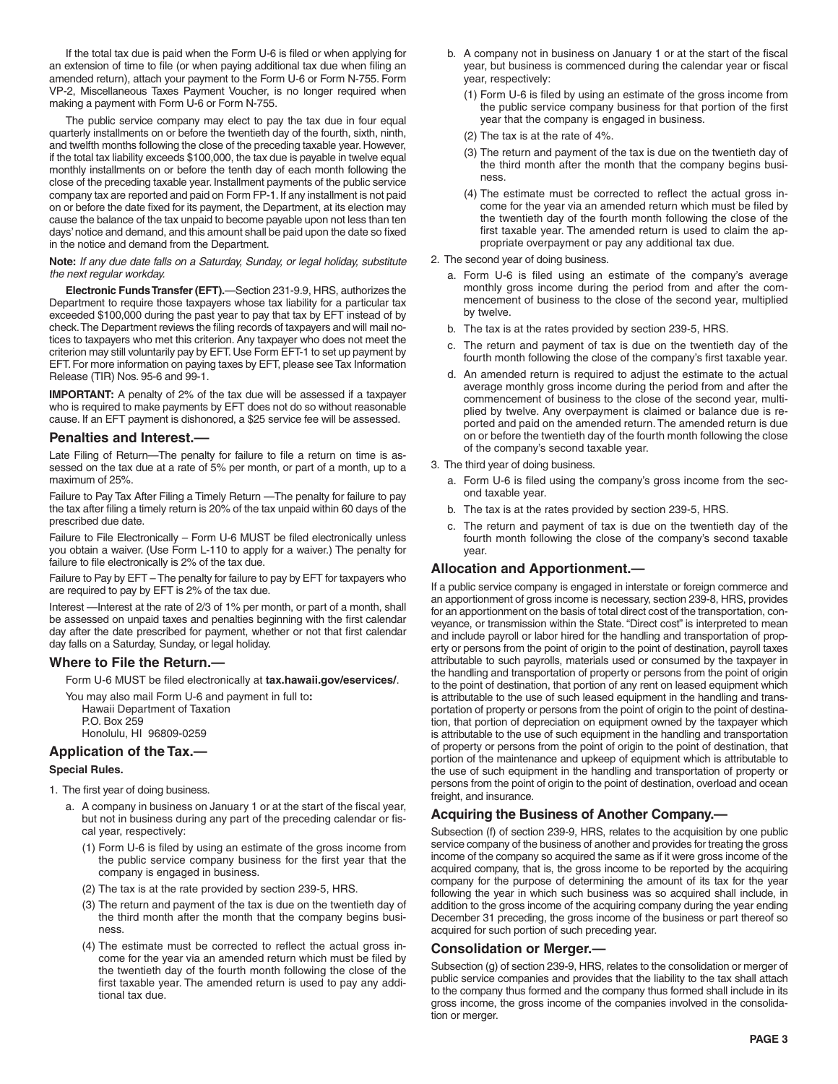If the total tax due is paid when the Form U-6 is filed or when applying for an extension of time to file (or when paying additional tax due when filing an amended return), attach your payment to the Form U-6 or Form N-755. Form VP-2, Miscellaneous Taxes Payment Voucher, is no longer required when making a payment with Form U-6 or Form N-755.

The public service company may elect to pay the tax due in four equal quarterly installments on or before the twentieth day of the fourth, sixth, ninth, and twelfth months following the close of the preceding taxable year. However, if the total tax liability exceeds \$100,000, the tax due is payable in twelve equal monthly installments on or before the tenth day of each month following the close of the preceding taxable year. Installment payments of the public service company tax are reported and paid on Form FP-1. If any installment is not paid on or before the date fixed for its payment, the Department, at its election may cause the balance of the tax unpaid to become payable upon not less than ten days' notice and demand, and this amount shall be paid upon the date so fixed in the notice and demand from the Department.

#### **Note:** *If any due date falls on a Saturday, Sunday, or legal holiday, substitute the next regular workday.*

**Electronic Funds Transfer (EFT).**—Section 231-9.9, HRS, authorizes the Department to require those taxpayers whose tax liability for a particular tax exceeded \$100,000 during the past year to pay that tax by EFT instead of by check. The Department reviews the filing records of taxpayers and will mail notices to taxpayers who met this criterion. Any taxpayer who does not meet the criterion may still voluntarily pay by EFT. Use Form EFT-1 to set up payment by EFT. For more information on paying taxes by EFT, please see Tax Information Release (TIR) Nos. 95-6 and 99-1.

**IMPORTANT:** A penalty of 2% of the tax due will be assessed if a taxpayer who is required to make payments by EFT does not do so without reasonable cause. If an EFT payment is dishonored, a \$25 service fee will be assessed.

## **Penalties and Interest.––**

Late Filing of Return—The penalty for failure to file a return on time is assessed on the tax due at a rate of 5% per month, or part of a month, up to a maximum of 25%.

Failure to Pay Tax After Filing a Timely Return —The penalty for failure to pay the tax after filing a timely return is 20% of the tax unpaid within 60 days of the prescribed due date.

Failure to File Electronically – Form U-6 MUST be filed electronically unless you obtain a waiver. (Use Form L-110 to apply for a waiver.) The penalty for failure to file electronically is 2% of the tax due.

Failure to Pay by EFT – The penalty for failure to pay by EFT for taxpayers who are required to pay by EFT is 2% of the tax due.

Interest —Interest at the rate of 2/3 of 1% per month, or part of a month, shall be assessed on unpaid taxes and penalties beginning with the first calendar day after the date prescribed for payment, whether or not that first calendar day falls on a Saturday, Sunday, or legal holiday.

## **Where to File the Return.—**

Form U-6 MUST be filed electronically at **tax.hawaii.gov/eservices/**.

You may also mail Form U-6 and payment in full to**:** Hawaii Department of Taxation P.O. Box 259 Honolulu, HI 96809-0259

## **Application of the Tax.—**

#### **Special Rules.**

- 1. The first year of doing business.
	- a. A company in business on January 1 or at the start of the fiscal year, but not in business during any part of the preceding calendar or fiscal year, respectively:
		- (1) Form U-6 is filed by using an estimate of the gross income from the public service company business for the first year that the company is engaged in business.
		- (2) The tax is at the rate provided by section 239-5, HRS.
		- (3) The return and payment of the tax is due on the twentieth day of the third month after the month that the company begins business.
		- (4) The estimate must be corrected to reflect the actual gross income for the year via an amended return which must be filed by the twentieth day of the fourth month following the close of the first taxable year. The amended return is used to pay any additional tax due.
- b. A company not in business on January 1 or at the start of the fiscal year, but business is commenced during the calendar year or fiscal year, respectively:
	- (1) Form U-6 is filed by using an estimate of the gross income from the public service company business for that portion of the first year that the company is engaged in business.
	- (2) The tax is at the rate of 4%.
	- (3) The return and payment of the tax is due on the twentieth day of the third month after the month that the company begins business.
	- (4) The estimate must be corrected to reflect the actual gross income for the year via an amended return which must be filed by the twentieth day of the fourth month following the close of the first taxable year. The amended return is used to claim the appropriate overpayment or pay any additional tax due.
- 2. The second year of doing business.
	- a. Form U-6 is filed using an estimate of the company's average monthly gross income during the period from and after the commencement of business to the close of the second year, multiplied by twelve.
	- b. The tax is at the rates provided by section 239-5, HRS.
	- c. The return and payment of tax is due on the twentieth day of the fourth month following the close of the company's first taxable year.
	- d. An amended return is required to adjust the estimate to the actual average monthly gross income during the period from and after the commencement of business to the close of the second year, multiplied by twelve. Any overpayment is claimed or balance due is reported and paid on the amended return. The amended return is due on or before the twentieth day of the fourth month following the close of the company's second taxable year.
- 3. The third year of doing business.
	- a. Form U-6 is filed using the company's gross income from the second taxable year.
	- b. The tax is at the rates provided by section 239-5, HRS.
	- c. The return and payment of tax is due on the twentieth day of the fourth month following the close of the company's second taxable year.

## **Allocation and Apportionment.—**

If a public service company is engaged in interstate or foreign commerce and an apportionment of gross income is necessary, section 239-8, HRS, provides for an apportionment on the basis of total direct cost of the transportation, conveyance, or transmission within the State. "Direct cost" is interpreted to mean and include payroll or labor hired for the handling and transportation of property or persons from the point of origin to the point of destination, payroll taxes attributable to such payrolls, materials used or consumed by the taxpayer in the handling and transportation of property or persons from the point of origin to the point of destination, that portion of any rent on leased equipment which is attributable to the use of such leased equipment in the handling and transportation of property or persons from the point of origin to the point of destination, that portion of depreciation on equipment owned by the taxpayer which is attributable to the use of such equipment in the handling and transportation of property or persons from the point of origin to the point of destination, that portion of the maintenance and upkeep of equipment which is attributable to the use of such equipment in the handling and transportation of property or persons from the point of origin to the point of destination, overload and ocean freight, and insurance.

## **Acquiring the Business of Another Company.—**

Subsection (f) of section 239-9, HRS, relates to the acquisition by one public service company of the business of another and provides for treating the gross income of the company so acquired the same as if it were gross income of the acquired company, that is, the gross income to be reported by the acquiring company for the purpose of determining the amount of its tax for the year following the year in which such business was so acquired shall include, in addition to the gross income of the acquiring company during the year ending December 31 preceding, the gross income of the business or part thereof so acquired for such portion of such preceding year.

#### **Consolidation or Merger.—**

Subsection (g) of section 239-9, HRS, relates to the consolidation or merger of public service companies and provides that the liability to the tax shall attach to the company thus formed and the company thus formed shall include in its gross income, the gross income of the companies involved in the consolidation or merger.